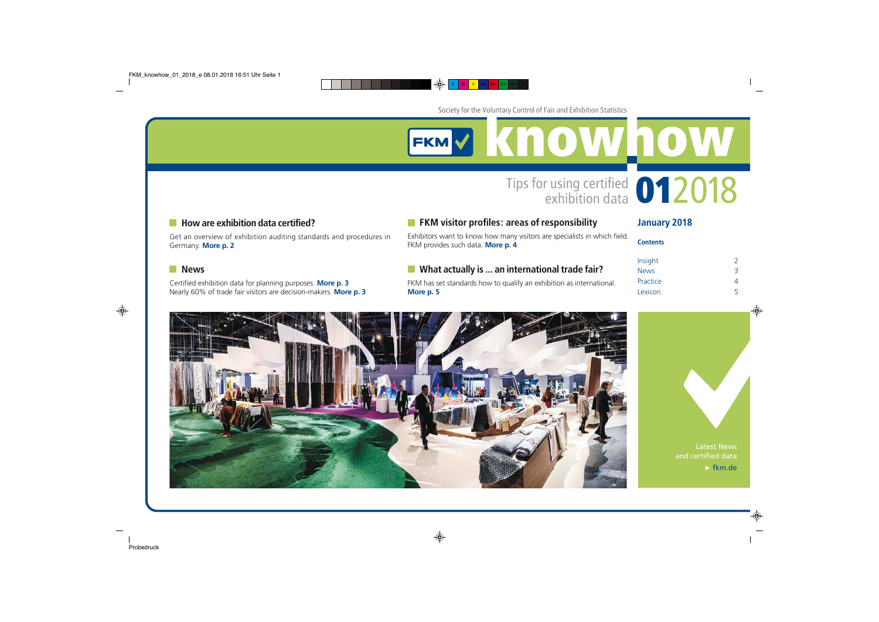### **How are exhibition data certified?**

Get an overview of exhibition auditing standards and procedures in Germany. **[More p. 2](#page-1-0)**

#### **News**

Certified exhibition data for planning purposes. **[More p. 3](#page-2-0)** Nearly 60% of trade fair visitors are decision-makers. **[More p. 3](#page-2-0)**

## **FKM** visitor profiles: areas of responsibility

Exhibitors want to know how many visitors are specialists in which field. FKM provides such data. **[More p. 4](#page-3-0)**

### **No What actually is ... an international trade fair?**

FKM has set standards how to qualify an exhibition as international. **[More p. 5](#page-4-0)**

| <b>Contents</b> |   |
|-----------------|---|
| Insight         | 2 |
| <b>News</b>     | 3 |
| Practice        | 4 |
| Lexicon         |   |
|                 |   |

January 2018

Tips for using certified **012018** 





Latest News and certified data  $\triangleright$  [fkm.de](http://www.fkm.de/en)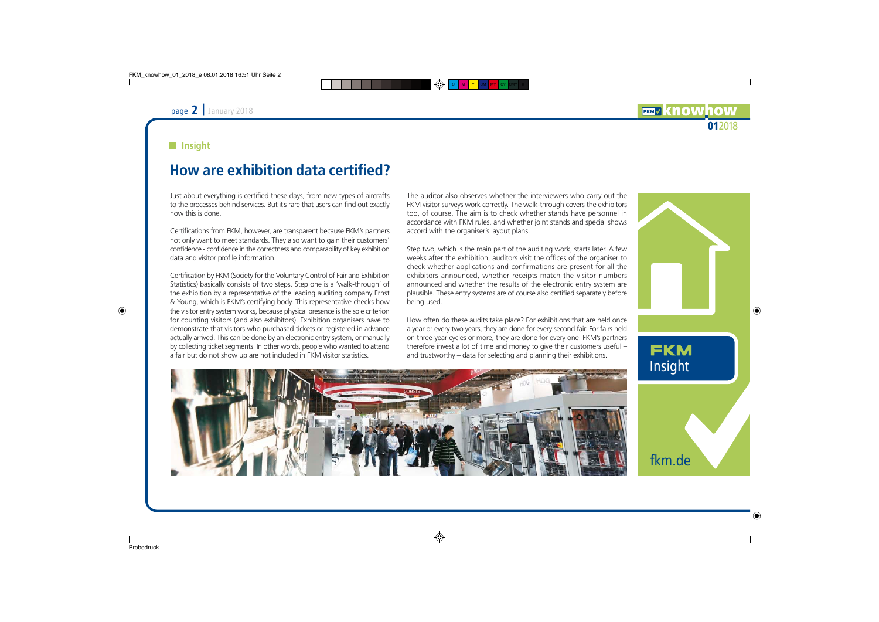### <span id="page-1-0"></span>**Insight**

# How are exhibition data certified?

Just about everything is certified these days, from new types of aircrafts to the processes behind services. But it's rare that users can find out exactly how this is done.

Certifications from FKM, however, are transparent because FKM's partners not only want to meet standards. They also want to gain their customers' confidence - confidence in the correctness and comparability of key exhibition data and visitor profile information.

Certification by FKM (Society for the Voluntary Control of Fair and Exhibition Statistics) basically consists of two steps. Step one is a 'walk-through' of the exhibition by a representative of the leading auditing company Ernst & Young, which is FKM's certifying body. This representative checks how the visitor entry system works, because physical presence is the sole criterion for counting visitors (and also exhibitors). Exhibition organisers have to demonstrate that visitors who purchased tickets or registered in advance actually arrived. This can be done by an electronic entry system, or manually by collecting ticket segments. In other words, people who wanted to attend a fair but do not show up are not included in FKM visitor statistics.

The auditor also observes whether the interviewers who carry out the FKM visitor surveys work correctly. The walk-through covers the exhibitors too, of course. The aim is to check whether stands have personnel in accordance with FKM rules, and whether joint stands and special shows accord with the organiser's layout plans.

Step two, which is the main part of the auditing work, starts later. A few weeks after the exhibition, auditors visit the offices of the organiser to check whether applications and confirmations are present for all the exhibitors announced, whether receipts match the visitor numbers announced and whether the results of the electronic entry system are plausible. These entry systems are of course also certified separately before being used.

How often do these audits take place? For exhibitions that are held once a year or every two years, they are done for every second fair. For fairs held on three-year cycles or more, they are done for every one. FKM's partners therefore invest a lot of time and money to give their customers useful – and trustworthy – data for selecting and planning their exhibitions.



[fkm.de](http://www.fkm.de/en)

Insight

**FKM**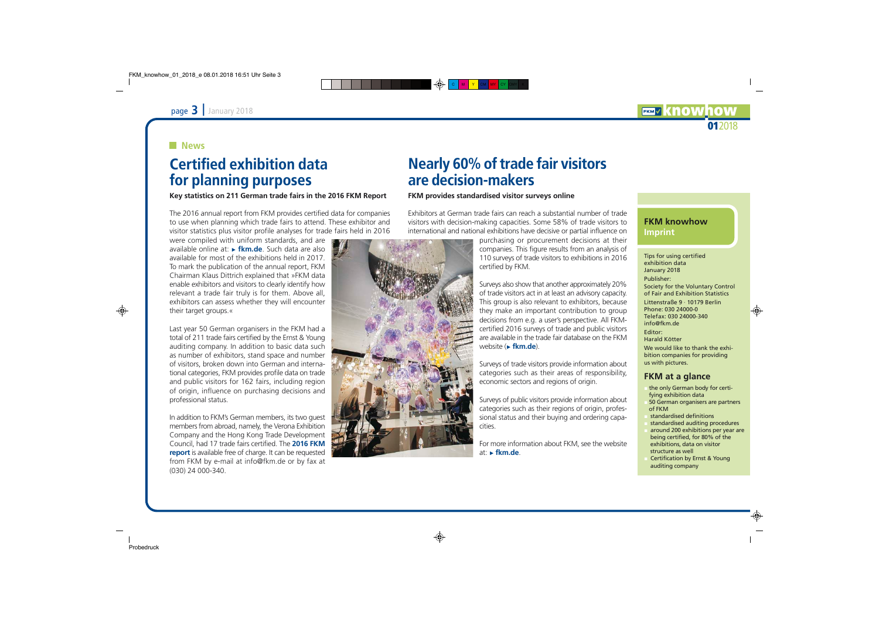### <span id="page-2-0"></span>**News**

# Certified exhibition data for planning purposes

**Key statistics on 211 German trade fairs in the 2016 FKM Report**

The 2016 annual report from FKM provides certified data for companies to use when planning which trade fairs to attend. These exhibitor and visitor statistics plus visitor profile analyses for trade fairs held in 2016

were compiled with uniform standards, and are available online at: t **[fkm.de](http://www.fkm.de/en/using-exhibition-data/)**. Such data are also available for most of the exhibitions held in 2017. To mark the publication of the annual report, FKM Chairman Klaus Dittrich explained that »FKM data enable exhibitors and visitors to clearly identify how relevant a trade fair truly is for them. Above all, exhibitors can assess whether they will encounter their target groups.«

Last year 50 German organisers in the FKM had a total of 211 trade fairs certified by the Ernst & Young auditing company. In addition to basic data such as number of exhibitors, stand space and number of visitors, broken down into German and international categories, FKM provides profile data on trade and public visitors for 162 fairs, including region of origin, influence on purchasing decisions and professional status.

In addition to FKM's German members, its two guest members from abroad, namely, the Verona Exhibition Company and the Hong Kong Trade Development Council, had 17 trade fairs certified. The **[2016 FKM](http://www.fkm.de/en/media-centre/fkm-reports/) [report](http://www.fkm.de/en/media-centre/fkm-reports/)** is available free of charge. It can be requested from FKM by e-mail at [info@fkm.de](mailto:info@fkm.de) or by fax at (030) 24 000-340.

# Nearly 60% of trade fair visitors are decision-makers

#### **FKM provides standardised visitor surveys online**

Exhibitors at German trade fairs can reach a substantial number of trade visitors with decision-making capacities. Some 58% of trade visitors to international and national exhibitions have decisive or partial influence on

> categories such as their regions of origin, professional status and their buying and ordering capa-

> For more information about FKM, see the website



cities.

at: t **[fkm.de](http://www.fkm.de/en/fkm/)**.

### **FKM knowhow Imprint**

**EKMV KNOWN** 

012018

Tips for using certified exhibition data Society for the Voluntary Control of Fair and Exhibition Statistics Littenstraße 9 · 10179 Berlin Phone: 030 24000-0 [info@fkm.de](mailto:info@fkm.de) Harald Kötter

#### **FKM at a glance**

- r the only German body for certifying exhibition data
- 50 German organisers are partners of FKM
- standardised definitions
- standardised auditing procedures
- around 200 exhibitions per year are being certified, for 80% of the exhibitions, data on visitor structure as well
- Certification by Ernst & Young auditing company

January 2018 Publisher:

Telefax: 030 24000-340

Editor:

We would like to thank the exhibition companies for providing us with pictures.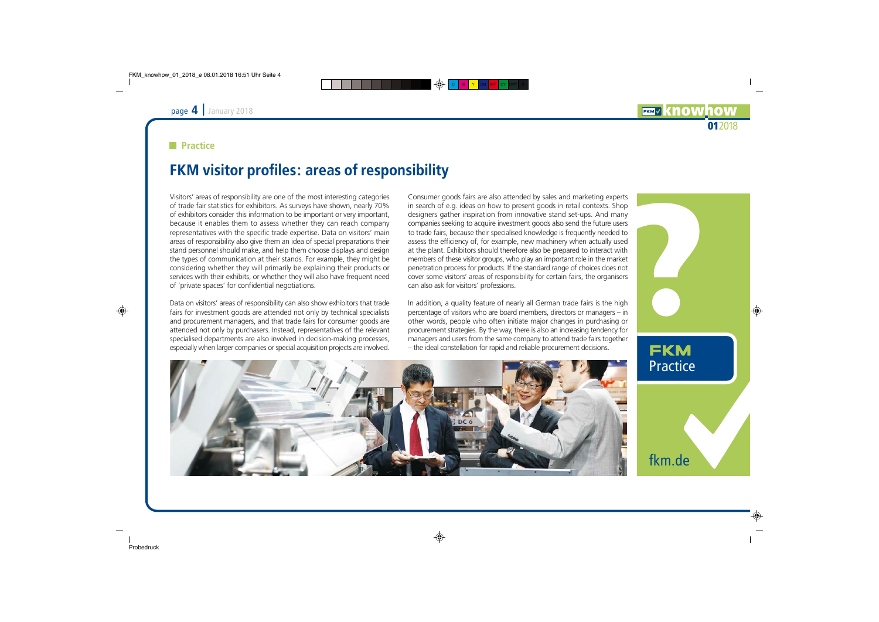### <span id="page-3-0"></span>**Practice**

## FKM visitor profiles: areas of responsibility

Visitors' areas of responsibility are one of the most interesting categories of trade fair statistics for exhibitors. As surveys have shown, nearly 70% of exhibitors consider this information to be important or very important, because it enables them to assess whether they can reach company representatives with the specific trade expertise. Data on visitors' main areas of responsibility also give them an idea of special preparations their stand personnel should make, and help them choose displays and design the types of communication at their stands. For example, they might be considering whether they will primarily be explaining their products or services with their exhibits, or whether they will also have frequent need of 'private spaces' for confidential negotiations.

Data on visitors' areas of responsibility can also show exhibitors that trade fairs for investment goods are attended not only by technical specialists and procurement managers, and that trade fairs for consumer goods are attended not only by purchasers. Instead, representatives of the relevant specialised departments are also involved in decision-making processes, especially when larger companies or special acquisition projects are involved.

Consumer goods fairs are also attended by sales and marketing experts in search of e.g. ideas on how to present goods in retail contexts. Shop designers gather inspiration from innovative stand set-ups. And many companies seeking to acquire investment goods also send the future users to trade fairs, because their specialised knowledge is frequently needed to assess the efficiency of, for example, new machinery when actually used at the plant. Exhibitors should therefore also be prepared to interact with members of these visitor groups, who play an important role in the market penetration process for products. If the standard range of choices does not cover some visitors' areas of responsibility for certain fairs, the organisers can also ask for visitors' professions.

In addition, a quality feature of nearly all German trade fairs is the high percentage of visitors who are board members, directors or managers – in other words, people who often initiate major changes in purchasing or procurement strategies. By the way, there is also an increasing tendency for managers and users from the same company to attend trade fairs together – the ideal constellation for rapid and reliable procurement decisions.



[fkm.de](http://www.fkm.de/en)

**Practice** 

**FKM**